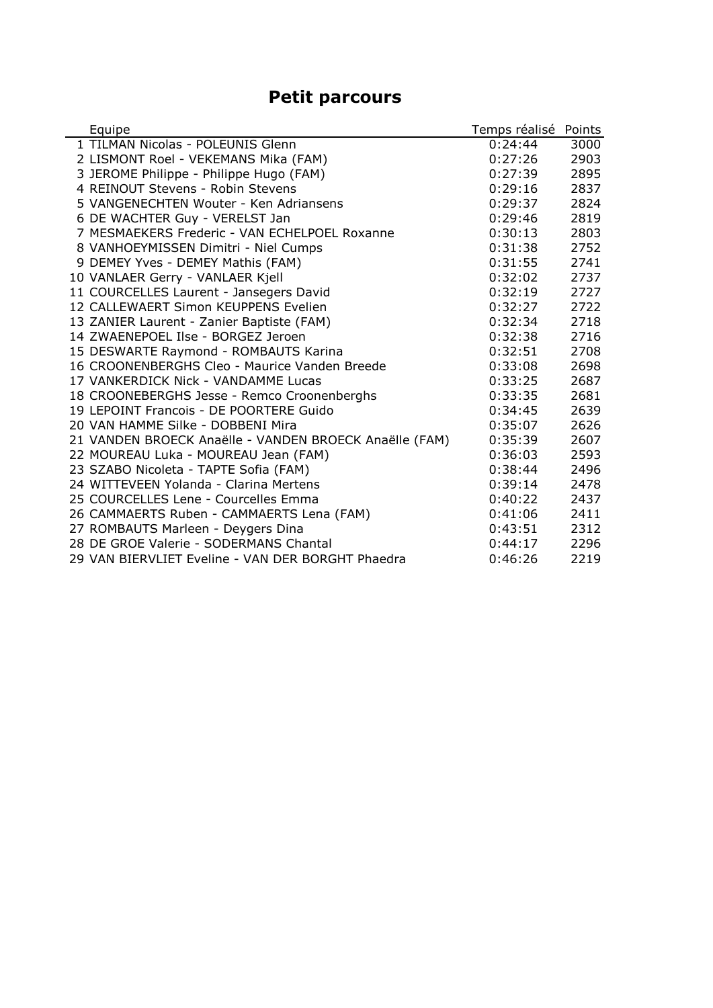## **Petit parcours**

| Equipe                                                 | Temps réalisé | Points |
|--------------------------------------------------------|---------------|--------|
| 1 TILMAN Nicolas - POLEUNIS Glenn                      | 0:24:44       | 3000   |
| 2 LISMONT Roel - VEKEMANS Mika (FAM)                   | 0:27:26       | 2903   |
| 3 JEROME Philippe - Philippe Hugo (FAM)                | 0:27:39       | 2895   |
| 4 REINOUT Stevens - Robin Stevens                      | 0:29:16       | 2837   |
| 5 VANGENECHTEN Wouter - Ken Adriansens                 | 0:29:37       | 2824   |
| 6 DE WACHTER Guy - VERELST Jan                         | 0:29:46       | 2819   |
| 7 MESMAEKERS Frederic - VAN ECHELPOEL Roxanne          | 0:30:13       | 2803   |
| 8 VANHOEYMISSEN Dimitri - Niel Cumps                   | 0:31:38       | 2752   |
| 9 DEMEY Yves - DEMEY Mathis (FAM)                      | 0:31:55       | 2741   |
| 10 VANLAER Gerry - VANLAER Kjell                       | 0:32:02       | 2737   |
| 11 COURCELLES Laurent - Jansegers David                | 0:32:19       | 2727   |
| 12 CALLEWAERT Simon KEUPPENS Evelien                   | 0:32:27       | 2722   |
| 13 ZANIER Laurent - Zanier Baptiste (FAM)              | 0:32:34       | 2718   |
| 14 ZWAENEPOEL Ilse - BORGEZ Jeroen                     | 0:32:38       | 2716   |
| 15 DESWARTE Raymond - ROMBAUTS Karina                  | 0:32:51       | 2708   |
| 16 CROONENBERGHS Cleo - Maurice Vanden Breede          | 0:33:08       | 2698   |
| 17 VANKERDICK Nick - VANDAMME Lucas                    | 0:33:25       | 2687   |
| 18 CROONEBERGHS Jesse - Remco Croonenberghs            | 0:33:35       | 2681   |
| 19 LEPOINT Francois - DE POORTERE Guido                | 0:34:45       | 2639   |
| 20 VAN HAMME Silke - DOBBENI Mira                      | 0:35:07       | 2626   |
| 21 VANDEN BROECK Anaëlle - VANDEN BROECK Anaëlle (FAM) | 0:35:39       | 2607   |
| 22 MOUREAU Luka - MOUREAU Jean (FAM)                   | 0:36:03       | 2593   |
| 23 SZABO Nicoleta - TAPTE Sofia (FAM)                  | 0:38:44       | 2496   |
| 24 WITTEVEEN Yolanda - Clarina Mertens                 | 0:39:14       | 2478   |
| 25 COURCELLES Lene - Courcelles Emma                   | 0:40:22       | 2437   |
| 26 CAMMAERTS Ruben - CAMMAERTS Lena (FAM)              | 0:41:06       | 2411   |
| 27 ROMBAUTS Marleen - Deygers Dina                     | 0:43:51       | 2312   |
| 28 DE GROE Valerie - SODERMANS Chantal                 | 0:44:17       | 2296   |
| 29 VAN BIERVLIET Eveline - VAN DER BORGHT Phaedra      | 0:46:26       | 2219   |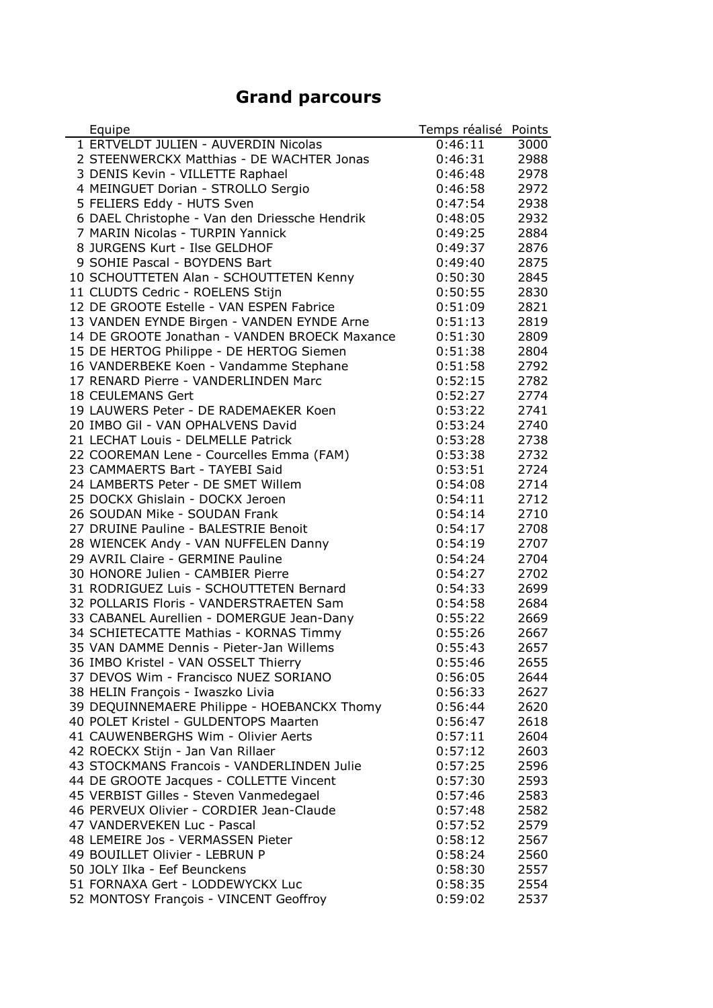## **Grand parcours**

| Equipe                                        | Temps réalisé | Points |
|-----------------------------------------------|---------------|--------|
| 1 ERTVELDT JULIEN - AUVERDIN Nicolas          | 0:46:11       | 3000   |
| 2 STEENWERCKX Matthias - DE WACHTER Jonas     | 0:46:31       | 2988   |
| 3 DENIS Kevin - VILLETTE Raphael              | 0:46:48       | 2978   |
| 4 MEINGUET Dorian - STROLLO Sergio            | 0:46:58       | 2972   |
| 5 FELIERS Eddy - HUTS Sven                    | 0:47:54       | 2938   |
| 6 DAEL Christophe - Van den Driessche Hendrik | 0:48:05       | 2932   |
| 7 MARIN Nicolas - TURPIN Yannick              | 0:49:25       | 2884   |
| 8 JURGENS Kurt - Ilse GELDHOF                 | 0:49:37       | 2876   |
| 9 SOHIE Pascal - BOYDENS Bart                 | 0:49:40       | 2875   |
| 10 SCHOUTTETEN Alan - SCHOUTTETEN Kenny       | 0:50:30       | 2845   |
| 11 CLUDTS Cedric - ROELENS Stijn              | 0:50:55       | 2830   |
| 12 DE GROOTE Estelle - VAN ESPEN Fabrice      | 0:51:09       | 2821   |
| 13 VANDEN EYNDE Birgen - VANDEN EYNDE Arne    | 0:51:13       | 2819   |
| 14 DE GROOTE Jonathan - VANDEN BROECK Maxance | 0:51:30       | 2809   |
| 15 DE HERTOG Philippe - DE HERTOG Siemen      | 0:51:38       | 2804   |
| 16 VANDERBEKE Koen - Vandamme Stephane        | 0:51:58       | 2792   |
| 17 RENARD Pierre - VANDERLINDEN Marc          | 0:52:15       | 2782   |
| 18 CEULEMANS Gert                             | 0:52:27       | 2774   |
| 19 LAUWERS Peter - DE RADEMAEKER Koen         | 0:53:22       | 2741   |
| 20 IMBO Gil - VAN OPHALVENS David             | 0:53:24       | 2740   |
| 21 LECHAT Louis - DELMELLE Patrick            | 0:53:28       | 2738   |
| 22 COOREMAN Lene - Courcelles Emma (FAM)      | 0:53:38       | 2732   |
| 23 CAMMAERTS Bart - TAYEBI Said               | 0:53:51       | 2724   |
| 24 LAMBERTS Peter - DE SMET Willem            | 0:54:08       | 2714   |
| 25 DOCKX Ghislain - DOCKX Jeroen              | 0:54:11       | 2712   |
| 26 SOUDAN Mike - SOUDAN Frank                 | 0:54:14       | 2710   |
| 27 DRUINE Pauline - BALESTRIE Benoit          | 0:54:17       | 2708   |
| 28 WIENCEK Andy - VAN NUFFELEN Danny          | 0:54:19       | 2707   |
| 29 AVRIL Claire - GERMINE Pauline             | 0:54:24       | 2704   |
| 30 HONORE Julien - CAMBIER Pierre             | 0:54:27       | 2702   |
| 31 RODRIGUEZ Luis - SCHOUTTETEN Bernard       | 0:54:33       | 2699   |
| 32 POLLARIS Floris - VANDERSTRAETEN Sam       | 0:54:58       | 2684   |
| 33 CABANEL Aurellien - DOMERGUE Jean-Dany     | 0:55:22       | 2669   |
| 34 SCHIETECATTE Mathias - KORNAS Timmy        | 0:55:26       | 2667   |
| 35 VAN DAMME Dennis - Pieter-Jan Willems      | 0:55:43       | 2657   |
| 36 IMBO Kristel - VAN OSSELT Thierry          | 0:55:46       | 2655   |
| 37 DEVOS Wim - Francisco NUEZ SORIANO         | 0:56:05       | 2644   |
| 38 HELIN François - Iwaszko Livia             | 0:56:33       | 2627   |
| 39 DEQUINNEMAERE Philippe - HOEBANCKX Thomy   | 0:56:44       | 2620   |
| 40 POLET Kristel - GULDENTOPS Maarten         | 0:56:47       | 2618   |
| 41 CAUWENBERGHS Wim - Olivier Aerts           | 0:57:11       | 2604   |
| 42 ROECKX Stijn - Jan Van Rillaer             | 0:57:12       | 2603   |
| 43 STOCKMANS Francois - VANDERLINDEN Julie    | 0:57:25       | 2596   |
| 44 DE GROOTE Jacques - COLLETTE Vincent       | 0:57:30       | 2593   |
| 45 VERBIST Gilles - Steven Vanmedegael        | 0:57:46       | 2583   |
| 46 PERVEUX Olivier - CORDIER Jean-Claude      | 0:57:48       | 2582   |
| 47 VANDERVEKEN Luc - Pascal                   | 0:57:52       | 2579   |
| 48 LEMEIRE Jos - VERMASSEN Pieter             | 0:58:12       | 2567   |
| 49 BOUILLET Olivier - LEBRUN P                | 0:58:24       | 2560   |
| 50 JOLY Ilka - Eef Beunckens                  | 0:58:30       | 2557   |
| 51 FORNAXA Gert - LODDEWYCKX Luc              | 0:58:35       | 2554   |
| 52 MONTOSY François - VINCENT Geoffroy        | 0:59:02       | 2537   |